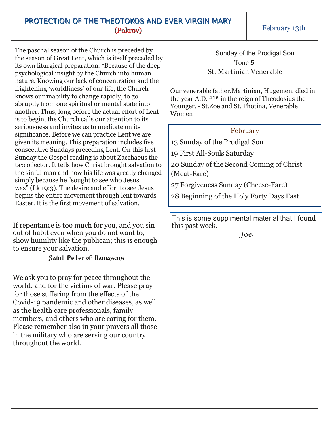## PROTECTION OF THE THEOTOKOS AND EVER VIRGIN MARY (Pokrov)

The paschal season of the Church is preceded by the season of Great Lent, which is itself preceded by its own liturgical preparation. "Because of the deep psychological insight by the Church into human nature. Knowing our lack of concentration and the frightening 'worldliness' of our life, the Church knows our inability to change rapidly, to go abruptly from one spiritual or mental state into another. Thus, long before the actual effort of Lent is to begin, the Church calls our attention to its seriousness and invites us to meditate on its significance. Before we can practice Lent we are given its meaning. This preparation includes five consecutive Sundays preceding Lent. On this first Sunday the Gospel reading is about Zacchaeus the taxcollector. It tells how Christ brought salvation to the sinful man and how his life was greatly changed simply because he "sought to see who Jesus was" (Lk 19:3). The desire and effort to see Jesus begins the entire movement through lent towards Easter. It is the first movement of salvation.

If repentance is too much for you, and you sin out of habit even when you do not want to, show humility like the publican; this is enough to ensure your salvation.

## Saint Peter of Damascus

We ask you to pray for peace throughout the world, and for the victims of war. Please pray for those suffering from the effects of the Covid-19 pandemic and other diseases, as well as the health care professionals, family members, and others who are caring for them. Please remember also in your prayers all those in the military who are serving our country throughout the world.

Sunday of the Prodigal Son Tone *5* St. Martinian Venerable

Our venerable father,Martinian, Hugemen, died in the year A.D.  $415$  in the reign of Theodosius the Younger. St.Zoe and St. Photina, Venerable Women

## February

13 Sunday of the Prodigal Son

19 First All-Souls Saturday

20 Sunday of the Second Coming of Christ (Meat-Fare)

27 Forgiveness Sunday (Cheese-Fare)

28 Beginning of the Holy Forty Days Fast

This is some suppimental material that I found this past week.

*Joe*

February 13th